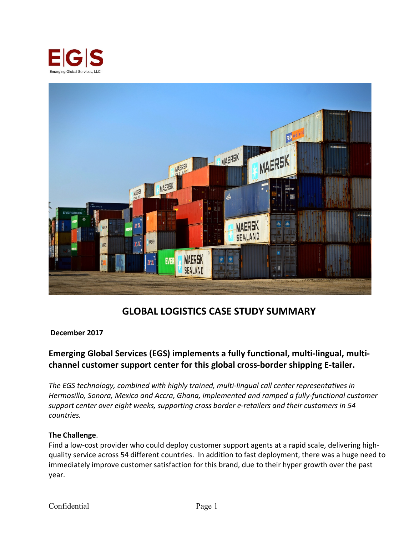



# **GLOBAL LOGISTICS CASE STUDY SUMMARY**

#### **December 2017**

# **Emerging Global Services (EGS) implements a fully functional, multi-lingual, multichannel customer support center for this global cross-border shipping E-tailer.**

*The EGS technology, combined with highly trained, multi-lingual call center representatives in Hermosillo, Sonora, Mexico and Accra, Ghana, implemented and ramped a fully-functional customer support center over eight weeks, supporting cross border e-retailers and their customers in 54 countries.*

#### **The Challenge**.

Find a low-cost provider who could deploy customer support agents at a rapid scale, delivering highquality service across 54 different countries. In addition to fast deployment, there was a huge need to immediately improve customer satisfaction for this brand, due to their hyper growth over the past year.